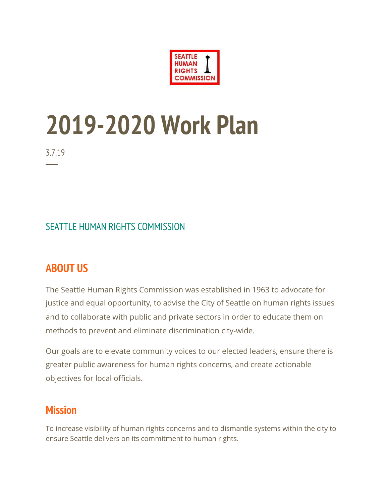

# **2019-2020 Work Plan**

3.7.19

─

#### SEATTLE HUMAN RIGHTS COMMISSION

# **ABOUT US**

The Seattle Human Rights Commission was established in 1963 to advocate for justice and equal opportunity, to advise the City of Seattle on human rights issues and to collaborate with public and private sectors in order to educate them on methods to prevent and eliminate discrimination city-wide.

Our goals are to elevate community voices to our elected leaders, ensure there is greater public awareness for human rights concerns, and create actionable objectives for local officials.

## **Mission**

To increase visibility of human rights concerns and to dismantle systems within the city to ensure Seattle delivers on its commitment to human rights.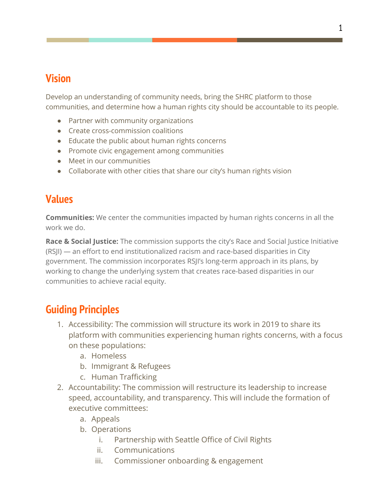# **Vision**

Develop an understanding of community needs, bring the SHRC platform to those communities, and determine how a human rights city should be accountable to its people.

- Partner with community organizations
- Create cross-commission coalitions
- Educate the public about human rights concerns
- Promote civic engagement among communities
- Meet in our communities
- Collaborate with other cities that share our city's human rights vision

# **Values**

**Communities:** We center the communities impacted by human rights concerns in all the work we do.

**Race & Social Justice:** The commission supports the city's Race and Social Justice Initiative (RSJI) — an effort to end institutionalized racism and race-based disparities in City government. The commission incorporates RSJI's long-term approach in its plans, by working to change the underlying system that creates race-based disparities in our communities to achieve racial equity.

# **Guiding Principles**

- 1. Accessibility: The commission will structure its work in 2019 to share its platform with communities experiencing human rights concerns, with a focus on these populations:
	- a. Homeless
	- b. Immigrant & Refugees
	- c. Human Trafficking
- 2. Accountability: The commission will restructure its leadership to increase speed, accountability, and transparency. This will include the formation of executive committees:
	- a. Appeals
	- b. Operations
		- i. Partnership with Seattle Office of Civil Rights
		- ii. Communications
		- iii. Commissioner onboarding & engagement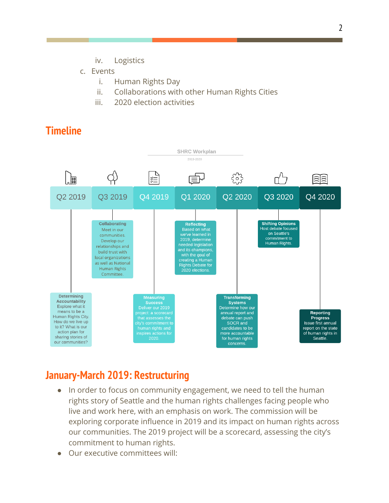- iv. Logistics
- c. Events
	- i. Human Rights Day
	- ii. Collaborations with other Human Rights Cities
	- iii. 2020 election activities

## **Timeline**



#### **January-March 2019: Restructuring**

- In order to focus on community engagement, we need to tell the human rights story of Seattle and the human rights challenges facing people who live and work here, with an emphasis on work. The commission will be exploring corporate influence in 2019 and its impact on human rights across our communities. The 2019 project will be a scorecard, assessing the city's commitment to human rights.
- Our executive committees will: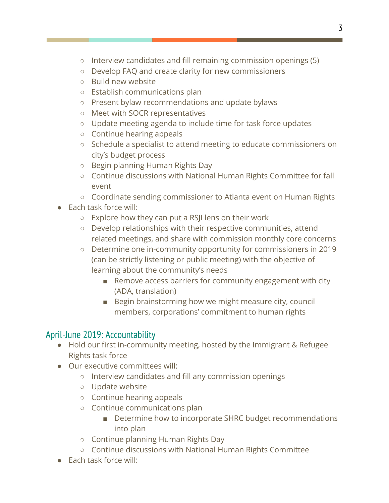- Interview candidates and fill remaining commission openings (5)
- Develop FAQ and create clarity for new commissioners
- Build new website
- Establish communications plan
- Present bylaw recommendations and update bylaws
- Meet with SOCR representatives
- Update meeting agenda to include time for task force updates
- Continue hearing appeals
- Schedule a specialist to attend meeting to educate commissioners on city's budget process
- Begin planning Human Rights Day
- Continue discussions with National Human Rights Committee for fall event
- Coordinate sending commissioner to Atlanta event on Human Rights
- Each task force will:
	- Explore how they can put a RSJI lens on their work
	- Develop relationships with their respective communities, attend related meetings, and share with commission monthly core concerns
	- Determine one in-community opportunity for commissioners in 2019 (can be strictly listening or public meeting) with the objective of learning about the community's needs
		- Remove access barriers for community engagement with city (ADA, translation)
		- Begin brainstorming how we might measure city, council members, corporations' commitment to human rights

#### April-June 2019: Accountability

- Hold our first in-community meeting, hosted by the Immigrant & Refugee Rights task force
- Our executive committees will:
	- Interview candidates and fill any commission openings
	- Update website
	- Continue hearing appeals
	- Continue communications plan
		- Determine how to incorporate SHRC budget recommendations into plan
	- Continue planning Human Rights Day
	- Continue discussions with National Human Rights Committee
- Each task force will: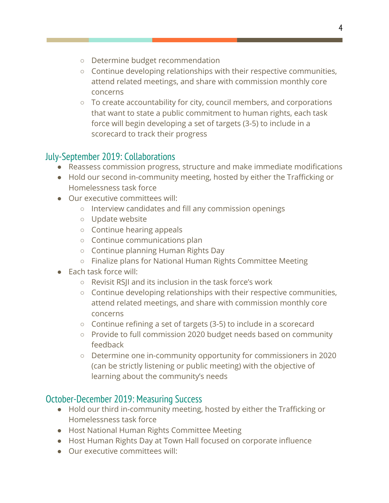- Determine budget recommendation
- Continue developing relationships with their respective communities, attend related meetings, and share with commission monthly core concerns
- To create accountability for city, council members, and corporations that want to state a public commitment to human rights, each task force will begin developing a set of targets (3-5) to include in a scorecard to track their progress

#### July-September 2019: Collaborations

- Reassess commission progress, structure and make immediate modifications
- Hold our second in-community meeting, hosted by either the Trafficking or Homelessness task force
- Our executive committees will:
	- Interview candidates and fill any commission openings
	- Update website
	- Continue hearing appeals
	- Continue communications plan
	- Continue planning Human Rights Day
	- Finalize plans for National Human Rights Committee Meeting
- Each task force will:
	- Revisit RSJI and its inclusion in the task force's work
	- Continue developing relationships with their respective communities, attend related meetings, and share with commission monthly core concerns
	- Continue refining a set of targets (3-5) to include in a scorecard
	- Provide to full commission 2020 budget needs based on community feedback
	- Determine one in-community opportunity for commissioners in 2020 (can be strictly listening or public meeting) with the objective of learning about the community's needs

#### October-December 2019: Measuring Success

- Hold our third in-community meeting, hosted by either the Trafficking or Homelessness task force
- Host National Human Rights Committee Meeting
- Host Human Rights Day at Town Hall focused on corporate influence
- Our executive committees will: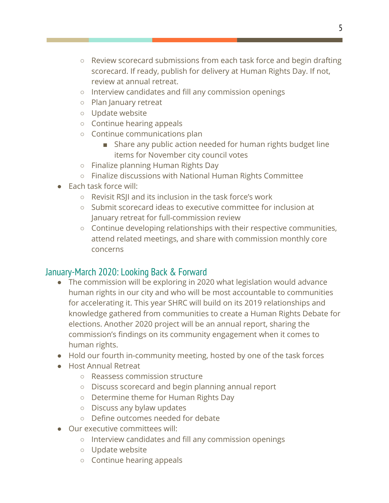- Review scorecard submissions from each task force and begin drafting scorecard. If ready, publish for delivery at Human Rights Day. If not, review at annual retreat.
- Interview candidates and fill any commission openings
- Plan January retreat
- Update website
- Continue hearing appeals
- Continue communications plan
	- Share any public action needed for human rights budget line items for November city council votes
- Finalize planning Human Rights Day
- Finalize discussions with National Human Rights Committee
- Each task force will:
	- Revisit RSJI and its inclusion in the task force's work
	- Submit scorecard ideas to executive committee for inclusion at January retreat for full-commission review
	- Continue developing relationships with their respective communities, attend related meetings, and share with commission monthly core concerns

#### January-March 2020: Looking Back & Forward

- The commission will be exploring in 2020 what legislation would advance human rights in our city and who will be most accountable to communities for accelerating it. This year SHRC will build on its 2019 relationships and knowledge gathered from communities to create a Human Rights Debate for elections. Another 2020 project will be an annual report, sharing the commission's findings on its community engagement when it comes to human rights.
- Hold our fourth in-community meeting, hosted by one of the task forces
- Host Annual Retreat
	- Reassess commission structure
	- Discuss scorecard and begin planning annual report
	- Determine theme for Human Rights Day
	- Discuss any bylaw updates
	- Define outcomes needed for debate
- Our executive committees will:
	- Interview candidates and fill any commission openings
	- Update website
	- Continue hearing appeals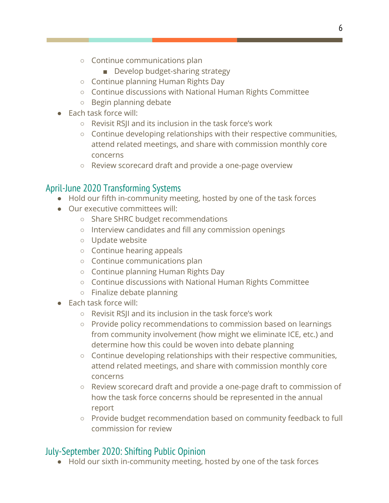- Continue communications plan
	- Develop budget-sharing strategy
- Continue planning Human Rights Day
- Continue discussions with National Human Rights Committee
- Begin planning debate
- Each task force will:
	- Revisit RSJI and its inclusion in the task force's work
	- Continue developing relationships with their respective communities, attend related meetings, and share with commission monthly core concerns
	- Review scorecard draft and provide a one-page overview

## April-June 2020 Transforming Systems

- Hold our fifth in-community meeting, hosted by one of the task forces
- Our executive committees will:
	- Share SHRC budget recommendations
	- Interview candidates and fill any commission openings
	- Update website
	- Continue hearing appeals
	- Continue communications plan
	- Continue planning Human Rights Day
	- Continue discussions with National Human Rights Committee
	- Finalize debate planning
- Each task force will:
	- Revisit RSJI and its inclusion in the task force's work
	- Provide policy recommendations to commission based on learnings from community involvement (how might we eliminate ICE, etc.) and determine how this could be woven into debate planning
	- $\circ$  Continue developing relationships with their respective communities, attend related meetings, and share with commission monthly core concerns
	- Review scorecard draft and provide a one-page draft to commission of how the task force concerns should be represented in the annual report
	- Provide budget recommendation based on community feedback to full commission for review

# July-September 2020: Shifting Public Opinion

● Hold our sixth in-community meeting, hosted by one of the task forces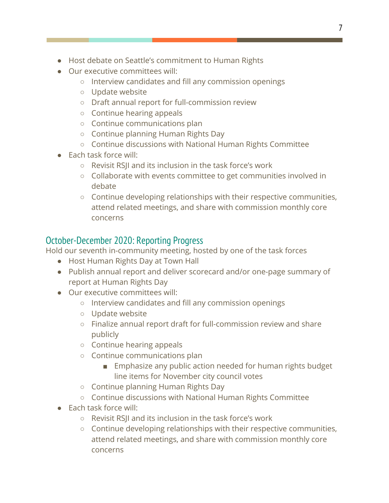- Host debate on Seattle's commitment to Human Rights
- Our executive committees will:
	- Interview candidates and fill any commission openings
	- Update website
	- Draft annual report for full-commission review
	- Continue hearing appeals
	- Continue communications plan
	- Continue planning Human Rights Day
	- Continue discussions with National Human Rights Committee
- Each task force will:
	- Revisit RSJI and its inclusion in the task force's work
	- Collaborate with events committee to get communities involved in debate
	- Continue developing relationships with their respective communities, attend related meetings, and share with commission monthly core concerns

#### October-December 2020: Reporting Progress

Hold our seventh in-community meeting, hosted by one of the task forces

- Host Human Rights Day at Town Hall
- Publish annual report and deliver scorecard and/or one-page summary of report at Human Rights Day
- Our executive committees will:
	- Interview candidates and fill any commission openings
	- Update website
	- Finalize annual report draft for full-commission review and share publicly
	- Continue hearing appeals
	- Continue communications plan
		- Emphasize any public action needed for human rights budget line items for November city council votes
	- Continue planning Human Rights Day
	- Continue discussions with National Human Rights Committee
- Each task force will:
	- Revisit RSJI and its inclusion in the task force's work
	- Continue developing relationships with their respective communities, attend related meetings, and share with commission monthly core concerns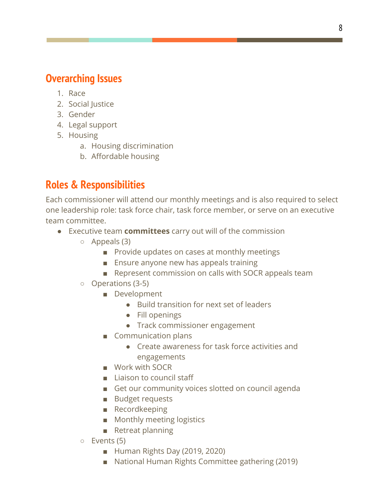## **Overarching Issues**

- 1. Race
- 2. Social Justice
- 3. Gender
- 4. Legal support
- 5. Housing
	- a. Housing discrimination
	- b. Affordable housing

# **Roles & Responsibilities**

Each commissioner will attend our monthly meetings and is also required to select one leadership role: task force chair, task force member, or serve on an executive team committee.

- Executive team **committees** carry out will of the commission
	- Appeals (3)
		- Provide updates on cases at monthly meetings
		- Ensure anyone new has appeals training
		- Represent commission on calls with SOCR appeals team
	- Operations (3-5)
		- Development
			- Build transition for next set of leaders
			- Fill openings
			- Track commissioner engagement
		- Communication plans
			- Create awareness for task force activities and engagements
		- Work with SOCR
		- Liaison to council staff
		- Get our community voices slotted on council agenda
		- Budget requests
		- Recordkeeping
		- Monthly meeting logistics
		- Retreat planning
	- Events (5)
		- Human Rights Day (2019, 2020)
		- National Human Rights Committee gathering (2019)